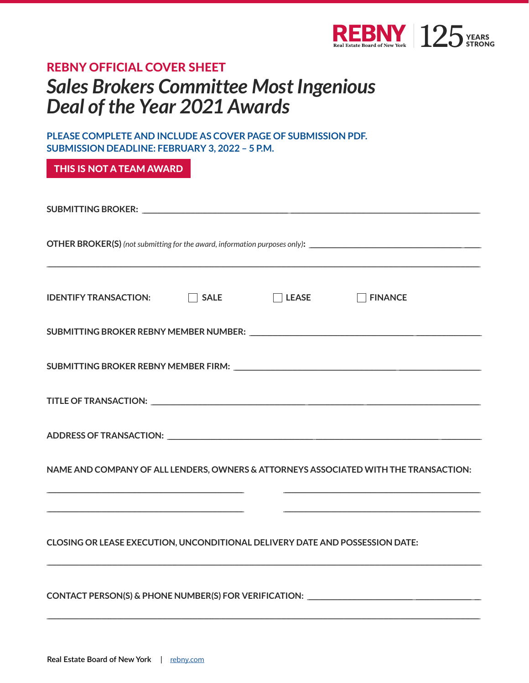

## **REBNY OFFICIAL COVER SHEET Sales Brokers Committee Most Ingenious** Deal of the Year 2021 Awards

PLEASE COMPLETE AND INCLUDE AS COVER PAGE OF SUBMISSION PDF. **SUBMISSION DEADLINE: FEBRUARY 3, 2022 - 5 P.M.** 

THIS IS NOT A TEAM AWARD

| IDENTIFY TRANSACTION: □ SALE □ LEASE □ FINANCE                                                                                                                                                                                                                                                                            |
|---------------------------------------------------------------------------------------------------------------------------------------------------------------------------------------------------------------------------------------------------------------------------------------------------------------------------|
|                                                                                                                                                                                                                                                                                                                           |
|                                                                                                                                                                                                                                                                                                                           |
|                                                                                                                                                                                                                                                                                                                           |
|                                                                                                                                                                                                                                                                                                                           |
| NAME AND COMPANY OF ALL LENDERS, OWNERS & ATTORNEYS ASSOCIATED WITH THE TRANSACTION:                                                                                                                                                                                                                                      |
| and the control of the control of the control of the control of the control of the control of the control of the<br><u> 1989 - Andrea Stadt Britain, amerikansk fotograf i stadt i den stadt fotograf i stadt fotograf i stadt fotogr</u><br>CLOSING OR LEASE EXECUTION, UNCONDITIONAL DELIVERY DATE AND POSSESSION DATE: |
| <b>CONTACT PERSON(S) &amp; PHONE NUMBER(S) FOR VERIFICATION:</b>                                                                                                                                                                                                                                                          |